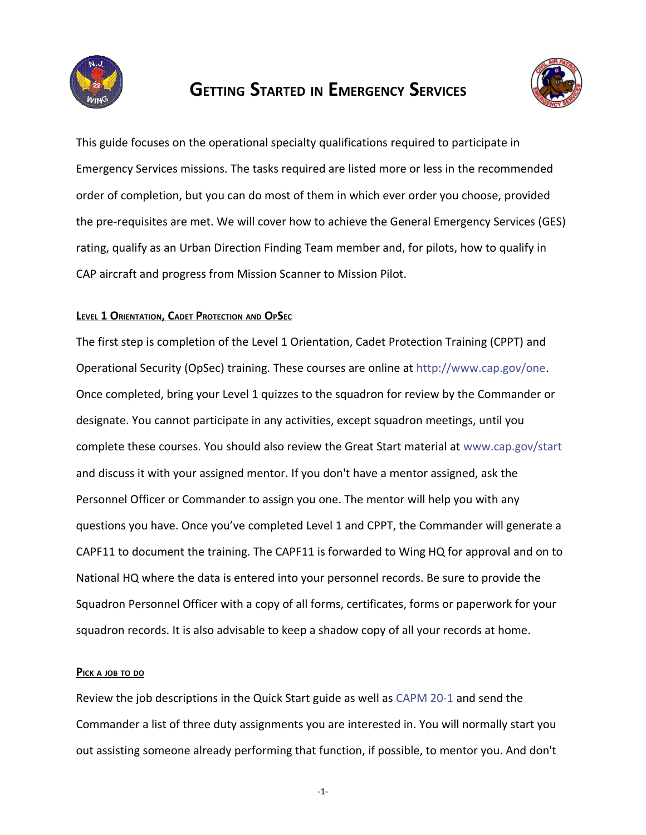

# **GETTING STARTED IN EMERGENCY SERVICES**



This guide focuses on the operational specialty qualifications required to participate in Emergency Services missions. The tasks required are listed more or less in the recommended order of completion, but you can do most of them in which ever order you choose, provided the pre-requisites are met. We will cover how to achieve the General Emergency Services (GES) rating, qualify as an Urban Direction Finding Team member and, for pilots, how to qualify in CAP aircraft and progress from Mission Scanner to Mission Pilot.

# **LEVEL 1 ORIENTATION, CADET PROTECTION AND OPSEC**

The first step is completion of the Level 1 Orientation, Cadet Protection Training (CPPT) and Operational Security (OpSec) training. These courses are online at [http://www.cap.gov/one.](http://www.cap.gov/one) Once completed, bring your Level 1 quizzes to the squadron for review by the Commander or designate. You cannot participate in any activities, except squadron meetings, until you complete these courses. You should also review the Great Start material at [www.cap.gov/start](http://www.cap.gov/start) and discuss it with your assigned mentor. If you don't have a mentor assigned, ask the Personnel Officer or Commander to assign you one. The mentor will help you with any questions you have. Once you've completed Level 1 and CPPT, the Commander will generate a CAPF11 to document the training. The CAPF11 is forwarded to Wing HQ for approval and on to National HQ where the data is entered into your personnel records. Be sure to provide the Squadron Personnel Officer with a copy of all forms, certificates, forms or paperwork for your squadron records. It is also advisable to keep a shadow copy of all your records at home.

## **PICK <sup>A</sup> JOB TO DO**

Review the job descriptions in the Quick Start guide as well as [CAPM 20-1](http://level2.cap.gov/documents/R020_001.pdf) and send the Commander a list of three duty assignments you are interested in. You will normally start you out assisting someone already performing that function, if possible, to mentor you. And don't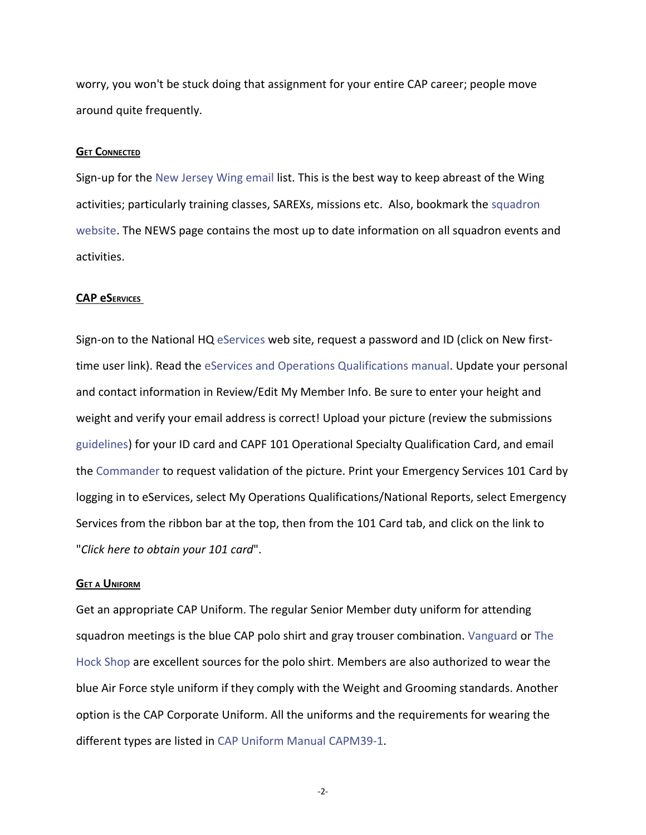worry, you won't be stuck doing that assignment for your entire CAP career; people move around quite frequently.

#### **GET CONNECTED**

Sign-up for the [New Jersey Wing email](mailto:njcap-join@njwg.cap.gov) list. This is the best way to keep abreast of the Wing activities; particularly training classes, SAREXs, missions etc. Also, bookmark the [squadron](http://ocean.njwg.cap.gov/) [website.](http://ocean.njwg.cap.gov/) The NEWS page contains the most up to date information on all squadron events and activities.

### **CAP e SERVICES**

Sign-on to the National HQ [eServices](http://www.capnhq.gov/) web site, request a password and ID (click on New firsttime user link). Read the [eServices and Operations Qualifications manual.](http://www.cawg.cap.gov/files/OPS-Qual-Guide.pdf) Update your personal and contact information in Review/Edit My Member Info. Be sure to enter your height and weight and verify your email address is correct! Upload your picture (review the submissions [guidelines\)](http://www.capchannel.com/photo_submission) for your ID card and CAPF 101 Operational Specialty Qualification Card, and email the [Commander](mailto:cmdrmer@gmail.com) to request validation of the picture. Print your Emergency Services 101 Card by logging in to eServices, select My Operations Qualifications/National Reports, select Emergency Services from the ribbon bar at the top, then from the 101 Card tab, and click on the link to "*Click here to obtain your 101 card*".

#### **GET <sup>A</sup> UNIFORM**

Get an appropriate CAP Uniform. The regular Senior Member duty uniform for attending squadron meetings is the blue CAP polo shirt and gray trouser combination. [Vanguard o](http://www.civilairpatrolstore.com/)r [The](http://www.thehock.com/) [Hock Shop](http://www.thehock.com/) are excellent sources for the polo shirt. Members are also authorized to wear the blue Air Force style uniform if they comply with the Weight and Grooming standards. Another option is the CAP Corporate Uniform. All the uniforms and the requirements for wearing the different types are listed in [CAP Uniform Manual CAPM39-1.](http://members.gocivilairpatrol.com/media/cms/u_082203102943.pdf)

-2-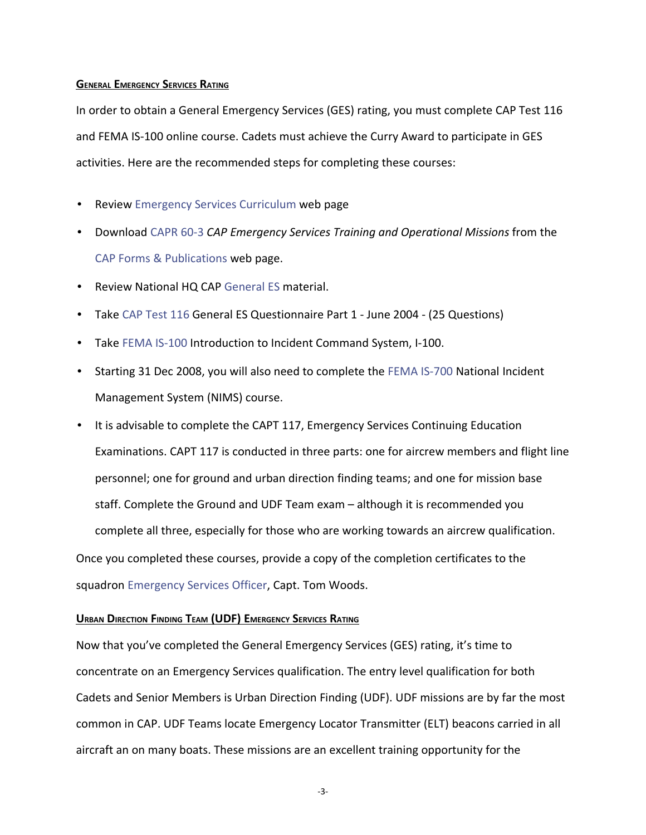## **GENERAL EMERGENCY SERVICES RATING**

In order to obtain a General Emergency Services (GES) rating, you must complete CAP Test 116 and FEMA IS-100 online course. Cadets must achieve the Curry Award to participate in GES activities. Here are the recommended steps for completing these courses:

- Review [Emergency Services Curriculum](http://level2.cap.gov/visitors/programs/operations/emergency_services/emergency_services_curriculum.cfm) web page
- Download [CAPR 60-3](http://level2.cap.gov/documents/u_082503073358.pdf) *CAP Emergency Services Training and Operational Missions* from the [CAP Forms & Publications](http://members.gocivilairpatrol.com/forms_publications__regulations/) web page.
- Review National HQ CAP [General ES](http://level2.cap.gov/index.cfm?nodeID=5785) material.
- Take [CAP Test 116](http://sq14.cawg.cap.gov/https:/tests.cap.af.mil/ops/tests/default.cfm) General ES Questionnaire Part 1 June 2004 (25 Questions)
- Take [FEMA IS-100](http://training.fema.gov/EMIWeb/IS/is100.asp) Introduction to Incident Command System, I-100.
- Starting 31 Dec 2008, you will also need to complete the [FEMA IS-700](http://training.fema.gov/EMIWeb/IS/is700.asp) National Incident Management System (NIMS) course.
- It is advisable to complete the CAPT 117, Emergency Services Continuing Education Examinations. CAPT 117 is conducted in three parts: one for aircrew members and flight line personnel; one for ground and urban direction finding teams; and one for mission base staff. Complete the Ground and UDF Team exam – although it is recommended you complete all three, especially for those who are working towards an aircrew qualification. Once you completed these courses, provide a copy of the completion certificates to the squadron [Emergency Services Officer,](mailto:ocean.cap@comcast.net) Capt. Tom Woods.

## **URBAN DIRECTION FINDING TEAM (UDF) EMERGENCY SERVICES RATING**

Now that you've completed the General Emergency Services (GES) rating, it's time to concentrate on an Emergency Services qualification. The entry level qualification for both Cadets and Senior Members is Urban Direction Finding (UDF). UDF missions are by far the most common in CAP. UDF Teams locate Emergency Locator Transmitter (ELT) beacons carried in all aircraft an on many boats. These missions are an excellent training opportunity for the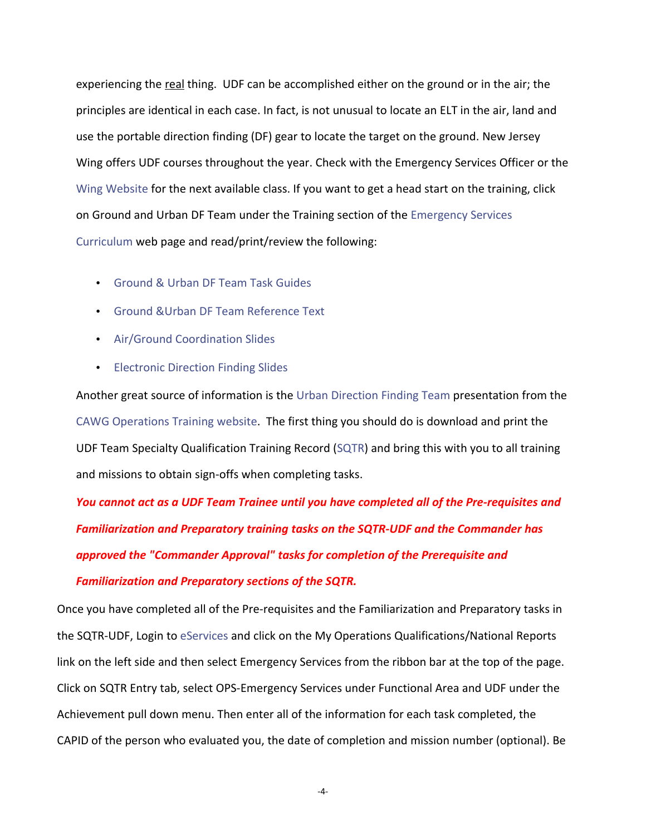experiencing the real thing. UDF can be accomplished either on the ground or in the air; the principles are identical in each case. In fact, is not unusual to locate an ELT in the air, land and use the portable direction finding (DF) gear to locate the target on the ground. New Jersey Wing offers UDF courses throughout the year. Check with the Emergency Services Officer or the [Wing Website](http://njwg.cap.gov/) for the next available class. If you want to get a head start on the training, click on Ground and Urban DF Team under the Training section of the [Emergency Services](http://www.cap.gov/visitors/members/operations/) [Curriculum](http://www.cap.gov/visitors/members/operations/) web page and read/print/review the following:

- [Ground & Urban DF Team Task Guides](http://www.cap.gov/documents/u_052704140516.pdf)
- [Ground &Urban DF Team Reference Text](http://www.cap.gov/documents/u_7102905590858541879.pdf)
- [Air/Ground Coordination Slides](https://ntc.cap.af.mil/ops/es_slides/agcoord.ppt)
- [Electronic Direction Finding Slides](http://www.cap.gov/documents/u_6920083661180487437.ppt)

Another great source of information is the [Urban Direction Finding Team](http://www.cawg.cap.gov/html/operations/other/UrbanDFTeamOnlineVer2.pdf) presentation from the [CAWG Operations Training website.](http://www.cawg.cap.gov/html/operations/es.htm) The first thing you should do is download and print the UDF Team Specialty Qualification Training Record [\(SQTR\)](https://ntc.cap.af.mil/es/sqtrs/SQTR%20Urban%20Direction%20Finding%20Team.pdf) and bring this with you to all training and missions to obtain sign-offs when completing tasks.

*You cannot act as a UDF Team Trainee until you have completed all of the Pre-requisites and Familiarization and Preparatory training tasks on the SQTR-UDF and the Commander has approved the "Commander Approval" tasks for completion of the Prerequisite and Familiarization and Preparatory sections of the SQTR.*

Once you have completed all of the Pre-requisites and the Familiarization and Preparatory tasks in the SQTR-UDF, Login to [eServices](http://www.capnhq.gov/) and click on the My Operations Qualifications/National Reports link on the left side and then select Emergency Services from the ribbon bar at the top of the page. Click on SQTR Entry tab, select OPS-Emergency Services under Functional Area and UDF under the Achievement pull down menu. Then enter all of the information for each task completed, the CAPID of the person who evaluated you, the date of completion and mission number (optional). Be

-4-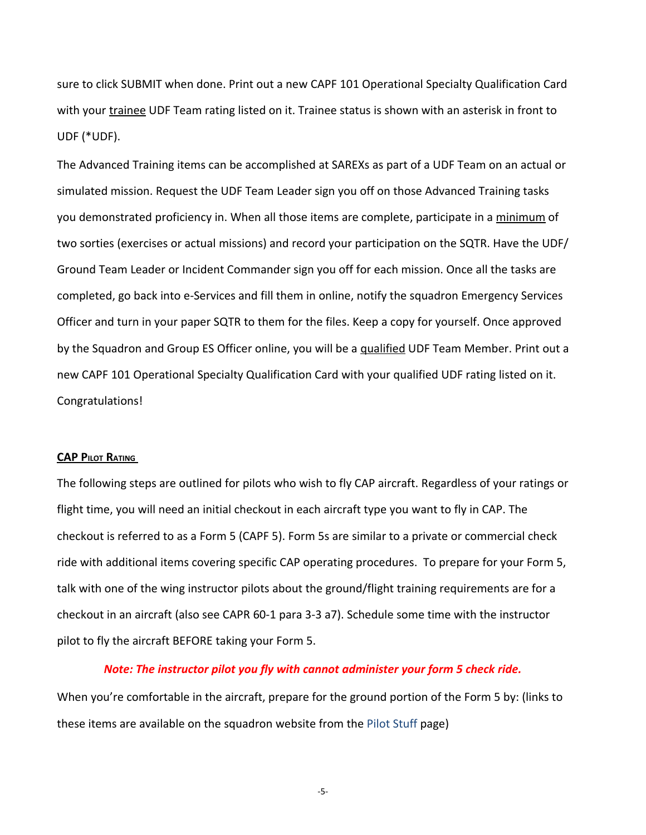sure to click SUBMIT when done. Print out a new CAPF 101 Operational Specialty Qualification Card with your trainee UDF Team rating listed on it. Trainee status is shown with an asterisk in front to UDF (\*UDF).

The Advanced Training items can be accomplished at SAREXs as part of a UDF Team on an actual or simulated mission. Request the UDF Team Leader sign you off on those Advanced Training tasks you demonstrated proficiency in. When all those items are complete, participate in a minimum of two sorties (exercises or actual missions) and record your participation on the SQTR. Have the UDF/ Ground Team Leader or Incident Commander sign you off for each mission. Once all the tasks are completed, go back into e-Services and fill them in online, notify the squadron Emergency Services Officer and turn in your paper SQTR to them for the files. Keep a copy for yourself. Once approved by the Squadron and Group ES Officer online, you will be a qualified UDF Team Member. Print out a new CAPF 101 Operational Specialty Qualification Card with your qualified UDF rating listed on it. Congratulations!

#### **CAP PILOT RATING**

The following steps are outlined for pilots who wish to fly CAP aircraft. Regardless of your ratings or flight time, you will need an initial checkout in each aircraft type you want to fly in CAP. The checkout is referred to as a Form 5 (CAPF 5). Form 5s are similar to a private or commercial check ride with additional items covering specific CAP operating procedures. To prepare for your Form 5, talk with one of the wing instructor pilots about the ground/flight training requirements are for a checkout in an aircraft (also see CAPR 60-1 para 3-3 a7). Schedule some time with the instructor pilot to fly the aircraft BEFORE taking your Form 5.

## *Note: The instructor pilot you fly with cannot administer your form 5 check ride.*

When you're comfortable in the aircraft, prepare for the ground portion of the Form 5 by: (links to these items are available on the squadron website from the [Pilot Stuff](http://ocean.njwg.cap.gov/pilot.html) page)

-5-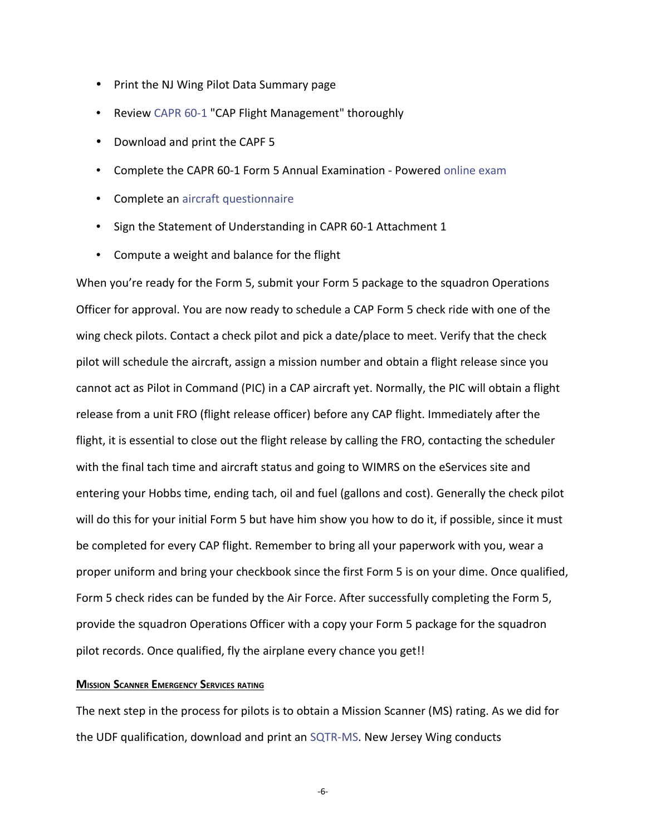- Print the NJ Wing Pilot Data Summary page
- Review [CAPR 60-1](http://level2.cap.gov/documents/u_082503073227.pdf) "CAP Flight Management" thoroughly
- Download and print the CAPF 5
- Complete the CAPR 60-1 Form 5 Annual Examination Powered [online exam](https://tests.cap.af.mil/ops/tests/default.cfm?grp=dov)
- Complete an [aircraft questionnaire](http://level2.cap.gov/documents/u_012604153956.pdf)
- Sign the Statement of Understanding in CAPR 60-1 Attachment 1
- Compute a weight and balance for the flight

When you're ready for the Form 5, submit your Form 5 package to the squadron Operations Officer for approval. You are now ready to schedule a CAP Form 5 check ride with one of the wing check pilots. Contact a check pilot and pick a date/place to meet. Verify that the check pilot will schedule the aircraft, assign a mission number and obtain a flight release since you cannot act as Pilot in Command (PIC) in a CAP aircraft yet. Normally, the PIC will obtain a flight release from a unit FRO (flight release officer) before any CAP flight. Immediately after the flight, it is essential to close out the flight release by calling the FRO, contacting the scheduler with the final tach time and aircraft status and going to WIMRS on the eServices site and entering your Hobbs time, ending tach, oil and fuel (gallons and cost). Generally the check pilot will do this for your initial Form 5 but have him show you how to do it, if possible, since it must be completed for every CAP flight. Remember to bring all your paperwork with you, wear a proper uniform and bring your checkbook since the first Form 5 is on your dime. Once qualified, Form 5 check rides can be funded by the Air Force. After successfully completing the Form 5, provide the squadron Operations Officer with a copy your Form 5 package for the squadron pilot records. Once qualified, fly the airplane every chance you get!!

#### **MISSION SCANNER EMERGENCY SERVICES RATING**

The next step in the process for pilots is to obtain a Mission Scanner (MS) rating. As we did for the UDF qualification, download and print an [SQTR-MS.](https://ntc.cap.af.mil/es/sqtrs/SQTR%20Mission%20Scanner.pdf) New Jersey Wing conducts

-6-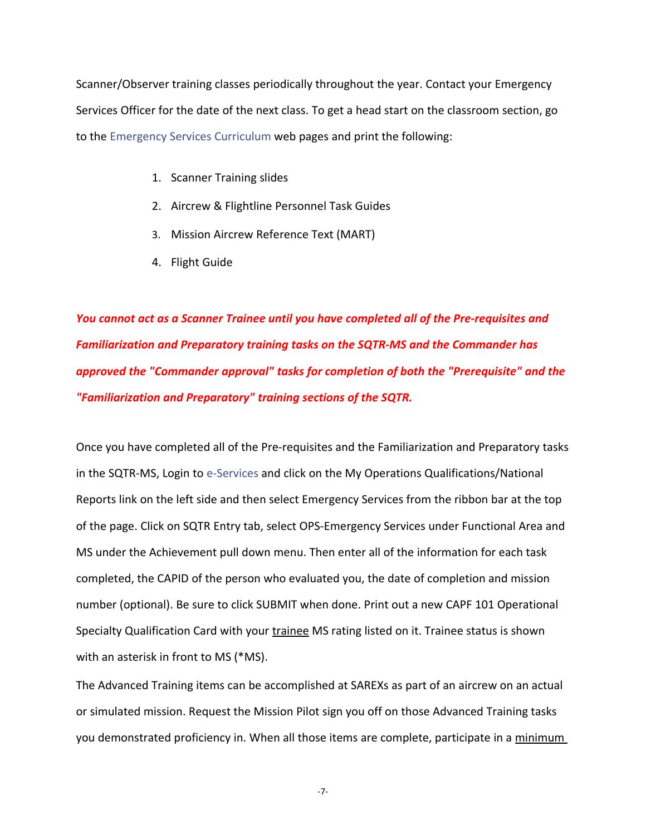Scanner/Observer training classes periodically throughout the year. Contact your Emergency Services Officer for the date of the next class. To get a head start on the classroom section, go to the [Emergency Services Curriculum](http://nesa.cap.gov/curriculum.htm) web pages and print the following:

- 1. Scanner Training slides
- 2. Aircrew & Flightline Personnel Task Guides
- 3. Mission Aircrew Reference Text (MART)
- 4. Flight Guide

*You cannot act as a Scanner Trainee until you have completed all of the Pre-requisites and Familiarization and Preparatory training tasks on the SQTR-MS and the Commander has approved the "Commander approval" tasks for completion of both the "Prerequisite" and the "Familiarization and Preparatory" training sections of the SQTR.*

Once you have completed all of the Pre-requisites and the Familiarization and Preparatory tasks in the SQTR-MS, Login to [e-Services](http://www.capnhq.gov/) and click on the My Operations Qualifications/National Reports link on the left side and then select Emergency Services from the ribbon bar at the top of the page. Click on SQTR Entry tab, select OPS-Emergency Services under Functional Area and MS under the Achievement pull down menu. Then enter all of the information for each task completed, the CAPID of the person who evaluated you, the date of completion and mission number (optional). Be sure to click SUBMIT when done. Print out a new CAPF 101 Operational Specialty Qualification Card with your trainee MS rating listed on it. Trainee status is shown with an asterisk in front to MS (\*MS).

The Advanced Training items can be accomplished at SAREXs as part of an aircrew on an actual or simulated mission. Request the Mission Pilot sign you off on those Advanced Training tasks you demonstrated proficiency in. When all those items are complete, participate in a minimum

-7-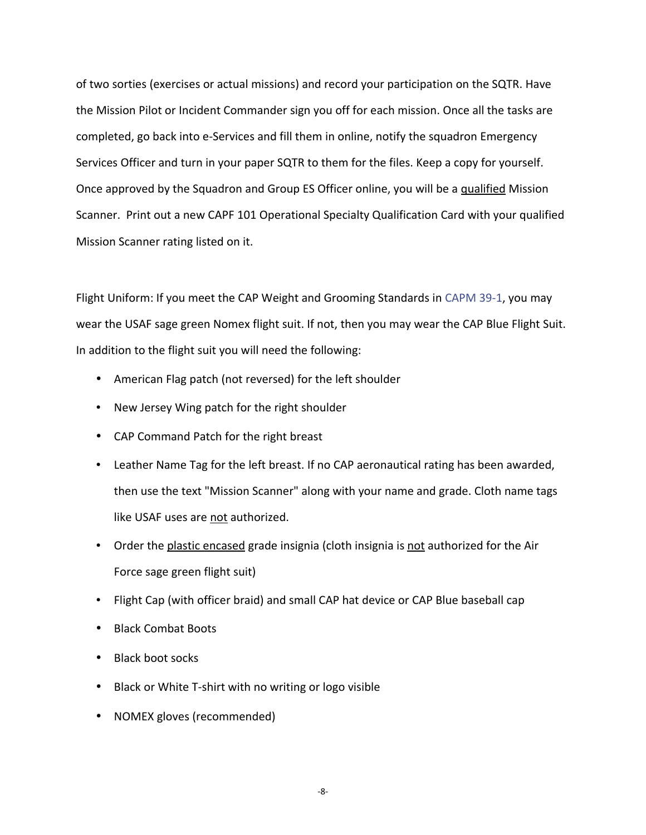of two sorties (exercises or actual missions) and record your participation on the SQTR. Have the Mission Pilot or Incident Commander sign you off for each mission. Once all the tasks are completed, go back into e-Services and fill them in online, notify the squadron Emergency Services Officer and turn in your paper SQTR to them for the files. Keep a copy for yourself. Once approved by the Squadron and Group ES Officer online, you will be a qualified Mission Scanner. Print out a new CAPF 101 Operational Specialty Qualification Card with your qualified Mission Scanner rating listed on it.

Flight Uniform: If you meet the CAP Weight and Grooming Standards in [CAPM 39-1,](http://level2.cap.gov/documents/u_082203102943.pdf) you may wear the USAF sage green Nomex flight suit. If not, then you may wear the CAP Blue Flight Suit. In addition to the flight suit you will need the following:

- American Flag patch (not reversed) for the left shoulder
- New Jersey Wing patch for the right shoulder
- CAP Command Patch for the right breast
- Leather Name Tag for the left breast. If no CAP aeronautical rating has been awarded, then use the text "Mission Scanner" along with your name and grade. Cloth name tags like USAF uses are not authorized.
- Order the plastic encased grade insignia (cloth insignia is not authorized for the Air Force sage green flight suit)
- Flight Cap (with officer braid) and small CAP hat device or CAP Blue baseball cap
- Black Combat Boots
- Black boot socks
- Black or White T-shirt with no writing or logo visible
- NOMEX gloves (recommended)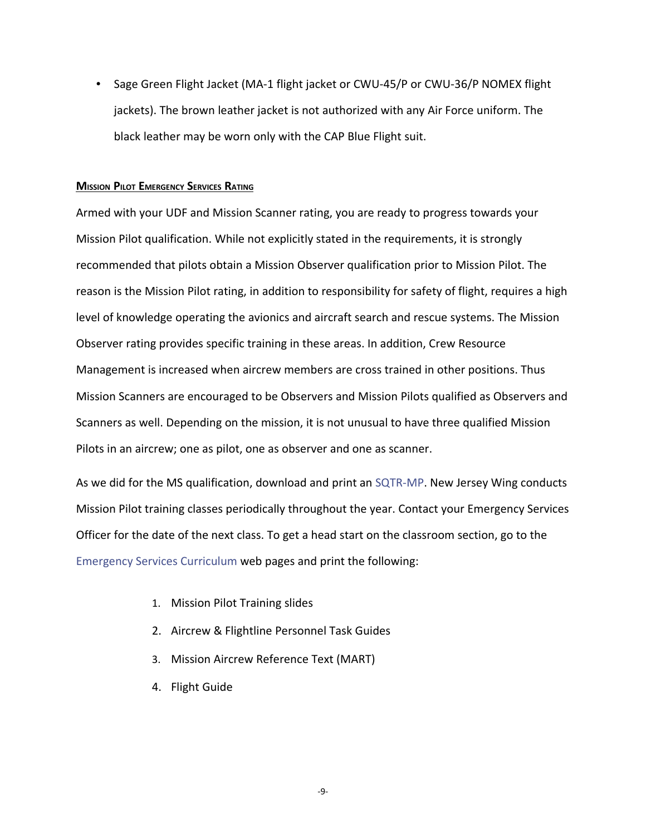• Sage Green Flight Jacket (MA-1 flight jacket or CWU-45/P or CWU-36/P NOMEX flight jackets). The brown leather jacket is not authorized with any Air Force uniform. The black leather may be worn only with the CAP Blue Flight suit.

## **MISSION PILOT EMERGENCY SERVICES RATING**

Armed with your UDF and Mission Scanner rating, you are ready to progress towards your Mission Pilot qualification. While not explicitly stated in the requirements, it is strongly recommended that pilots obtain a Mission Observer qualification prior to Mission Pilot. The reason is the Mission Pilot rating, in addition to responsibility for safety of flight, requires a high level of knowledge operating the avionics and aircraft search and rescue systems. The Mission Observer rating provides specific training in these areas. In addition, Crew Resource Management is increased when aircrew members are cross trained in other positions. Thus Mission Scanners are encouraged to be Observers and Mission Pilots qualified as Observers and Scanners as well. Depending on the mission, it is not unusual to have three qualified Mission Pilots in an aircrew; one as pilot, one as observer and one as scanner.

As we did for the MS qualification, download and print an [SQTR-MP.](https://ntc.cap.af.mil/es/sqtrs/SQTR%20Mission%20Pilot.pdf) New Jersey Wing conducts Mission Pilot training classes periodically throughout the year. Contact your Emergency Services Officer for the date of the next class. To get a head start on the classroom section, go to the [Emergency Services Curriculum](http://nesa.cap.gov/curriculum.htm) web pages and print the following:

- 1. Mission Pilot Training slides
- 2. Aircrew & Flightline Personnel Task Guides
- 3. Mission Aircrew Reference Text (MART)
- 4. Flight Guide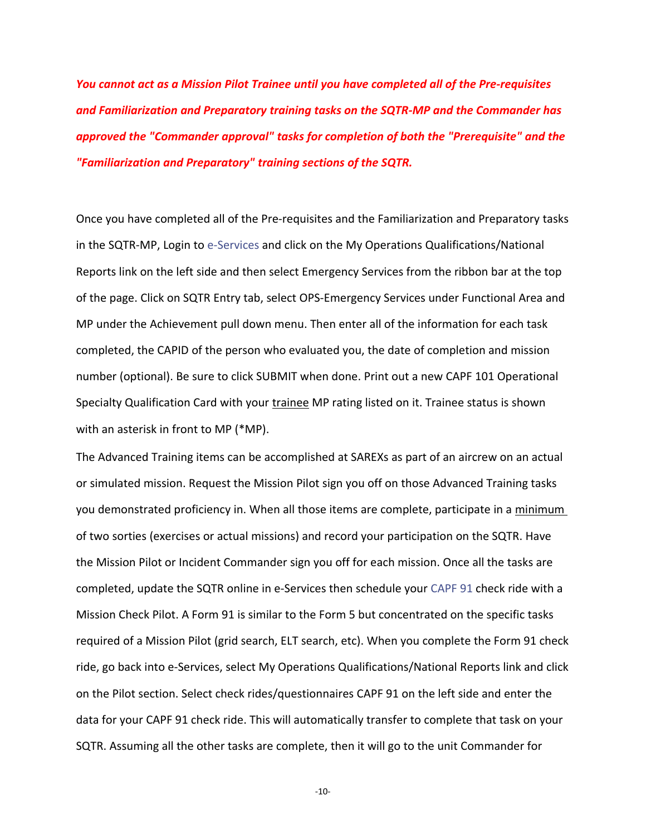*You cannot act as a Mission Pilot Trainee until you have completed all of the Pre-requisites and Familiarization and Preparatory training tasks on the SQTR-MP and the Commander has approved the "Commander approval" tasks for completion of both the "Prerequisite" and the "Familiarization and Preparatory" training sections of the SQTR.*

Once you have completed all of the Pre-requisites and the Familiarization and Preparatory tasks in the SQTR-MP, Login to [e-Services](http://www.capnhq.gov/) and click on the My Operations Qualifications/National Reports link on the left side and then select Emergency Services from the ribbon bar at the top of the page. Click on SQTR Entry tab, select OPS-Emergency Services under Functional Area and MP under the Achievement pull down menu. Then enter all of the information for each task completed, the CAPID of the person who evaluated you, the date of completion and mission number (optional). Be sure to click SUBMIT when done. Print out a new CAPF 101 Operational Specialty Qualification Card with your trainee MP rating listed on it. Trainee status is shown with an asterisk in front to MP (\*MP).

The Advanced Training items can be accomplished at SAREXs as part of an aircrew on an actual or simulated mission. Request the Mission Pilot sign you off on those Advanced Training tasks you demonstrated proficiency in. When all those items are complete, participate in a minimum of two sorties (exercises or actual missions) and record your participation on the SQTR. Have the Mission Pilot or Incident Commander sign you off for each mission. Once all the tasks are completed, update the SQTR online in e-Services then schedule your [CAPF 91](http://level2.cap.gov/documents/u_042904080001.dot) check ride with a Mission Check Pilot. A Form 91 is similar to the Form 5 but concentrated on the specific tasks required of a Mission Pilot (grid search, ELT search, etc). When you complete the Form 91 check ride, go back into e-Services, select My Operations Qualifications/National Reports link and click on the Pilot section. Select check rides/questionnaires CAPF 91 on the left side and enter the data for your CAPF 91 check ride. This will automatically transfer to complete that task on your SQTR. Assuming all the other tasks are complete, then it will go to the unit Commander for

-10-